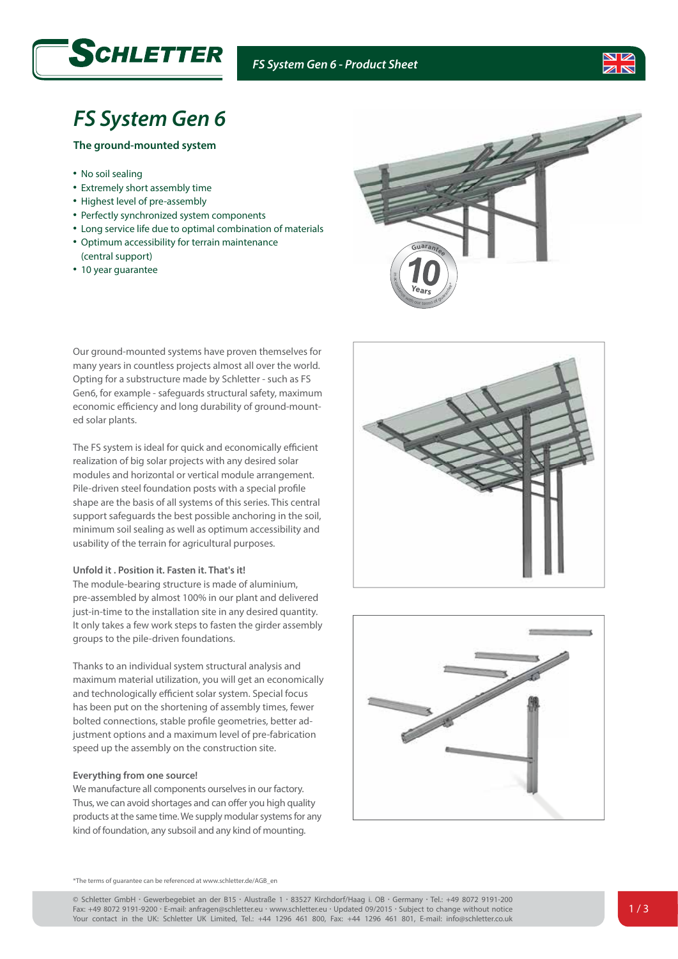

## *FS System Gen 6 - Product Sheet*



# *FS System Gen 6*

## **The ground-mounted system**

- No soil sealing
- Extremely short assembly time
- Highest level of pre-assembly
- Perfectly synchronized system components
- Long service life due to optimal combination of materials
- Optimum accessibility for terrain maintenance (central support)
- 10 year guarantee



Our ground-mounted systems have proven themselves for many years in countless projects almost all over the world. Opting for a substructure made by Schletter - such as FS Gen6, for example - safeguards structural safety, maximum economic efficiency and long durability of ground-mounted solar plants.

The FS system is ideal for quick and economically efficient realization of big solar projects with any desired solar modules and horizontal or vertical module arrangement. Pile-driven steel foundation posts with a special profile shape are the basis of all systems of this series. This central support safeguards the best possible anchoring in the soil, minimum soil sealing as well as optimum accessibility and usability of the terrain for agricultural purposes.

## **Unfold it . Position it. Fasten it. That's it!**

The module-bearing structure is made of aluminium, pre-assembled by almost 100% in our plant and delivered just-in-time to the installation site in any desired quantity. It only takes a few work steps to fasten the girder assembly groups to the pile-driven foundations.

Thanks to an individual system structural analysis and maximum material utilization, you will get an economically and technologically efficient solar system. Special focus has been put on the shortening of assembly times, fewer bolted connections, stable profile geometries, better adjustment options and a maximum level of pre-fabrication speed up the assembly on the construction site.

## **Everything from one source!**

We manufacture all components ourselves in our factory. Thus, we can avoid shortages and can offer you high quality products at the same time. We supply modular systems for any kind of foundation, any subsoil and any kind of mounting.





\*The terms of guarantee can be referenced at www.schletter.de/AGB\_en

© Schletter GmbH *•* Gewerbegebiet an der B15 *•* Alustraße 1 *•* 83527 Kirchdorf/Haag i. OB *•* Germany *•* Tel.: +49 8072 9191-200 Fax: +49 8072 9191-9200 *•* E-mail: anfragen@schletter.eu *•* www.schletter.eu *•* Updated 09/2015 *•* Subject to change without notice Your contact in the UK: Schletter UK Limited, Tel.: +44 1296 461 800, Fax: +44 1296 461 801, E-mail: info@schletter.co.uk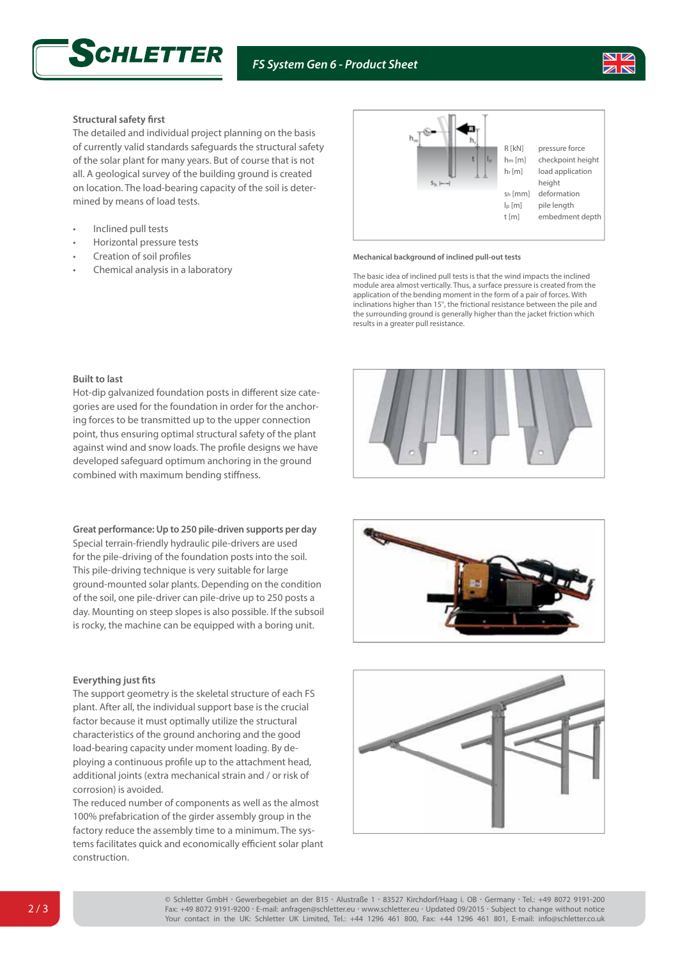



## **Structural safety first**

The detailed and individual project planning on the basis of currently valid standards safeguards the structural safety of the solar plant for many years. But of course that is not all. A geological survey of the building ground is created on location. The load-bearing capacity of the soil is determined by means of load tests.

- Inclined pull tests
- Horizontal pressure tests
- Creation of soil profiles
- Chemical analysis in a laboratory



#### **Mechanical background of inclined pull-out tests**

The basic idea of inclined pull tests is that the wind impacts the inclined module area almost vertically. Thus, a surface pressure is created from the application of the bending moment in the form of a pair of forces. With inclinations higher than 15°, the frictional resistance between the pile and the surrounding ground is generally higher than the jacket friction which results in a greater pull resistance.

### **Built to last**

Hot-dip galvanized foundation posts in different size categories are used for the foundation in order for the anchoring forces to be transmitted up to the upper connection point, thus ensuring optimal structural safety of the plant against wind and snow loads. The profile designs we have developed safeguard optimum anchoring in the ground combined with maximum bending stiffness.

**Great performance: Up to 250 pile-driven supports per day**

Special terrain-friendly hydraulic pile-drivers are used for the pile-driving of the foundation posts into the soil. This pile-driving technique is very suitable for large ground-mounted solar plants. Depending on the condition of the soil, one pile-driver can pile-drive up to 250 posts a day. Mounting on steep slopes is also possible. If the subsoil is rocky, the machine can be equipped with a boring unit.

## **Everything just fits**

The support geometry is the skeletal structure of each FS plant. After all, the individual support base is the crucial factor because it must optimally utilize the structural characteristics of the ground anchoring and the good load-bearing capacity under moment loading. By deploying a continuous profile up to the attachment head, additional joints (extra mechanical strain and / or risk of corrosion) is avoided.

The reduced number of components as well as the almost 100% prefabrication of the girder assembly group in the factory reduce the assembly time to a minimum. The systems facilitates quick and economically efficient solar plant construction.







© Schletter GmbH *•* Gewerbegebiet an der B15 *•* Alustraße 1 *•* 83527 Kirchdorf/Haag i. OB *•* Germany *•* Tel.: +49 8072 9191-200 Fax: +49 8072 9191-9200 *•* E-mail: anfragen@schletter.eu *•* www.schletter.eu *•* Updated 09/2015 *•* Subject to change without notice Your contact in the UK: Schletter UK Limited, Tel.: +44 1296 461 800, Fax: +44 1296 461 801, E-mail: info@schletter.co.uk